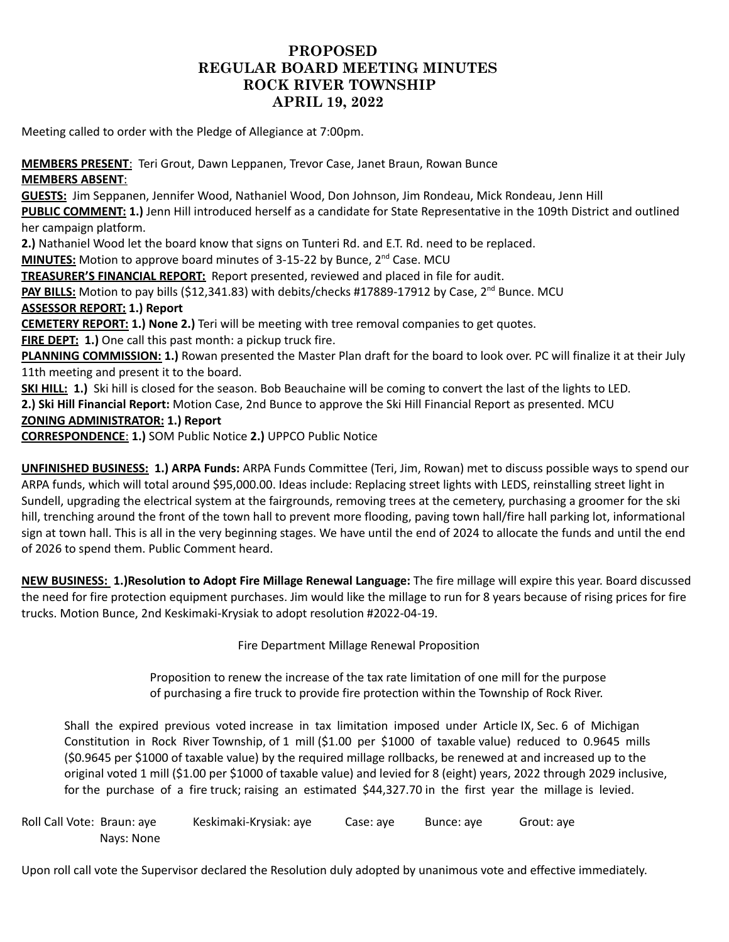## **PROPOSED REGULAR BOARD MEETING MINUTES ROCK RIVER TOWNSHIP APRIL 19, 2022**

Meeting called to order with the Pledge of Allegiance at 7:00pm.

## **MEMBERS PRESENT**: Teri Grout, Dawn Leppanen, Trevor Case, Janet Braun, Rowan Bunce **MEMBERS ABSENT**:

**GUESTS:** Jim Seppanen, Jennifer Wood, Nathaniel Wood, Don Johnson, Jim Rondeau, Mick Rondeau, Jenn Hill **PUBLIC COMMENT: 1.)** Jenn Hill introduced herself as a candidate for State Representative in the 109th District and outlined her campaign platform. **2.)** Nathaniel Wood let the board know that signs on Tunteri Rd. and E.T. Rd. need to be replaced. **MINUTES:** Motion to approve board minutes of 3-15-22 by Bunce, 2<sup>nd</sup> Case. MCU **TREASURER'S FINANCIAL REPORT:** Report presented, reviewed and placed in file for audit. PAY BILLS: Motion to pay bills (\$12,341.83) with debits/checks #17889-17912 by Case, 2<sup>nd</sup> Bunce. MCU **ASSESSOR REPORT: 1.) Report CEMETERY REPORT: 1.) None 2.)** Teri will be meeting with tree removal companies to get quotes. **FIRE DEPT: 1.)** One call this past month: a pickup truck fire. **PLANNING COMMISSION: 1.)** Rowan presented the Master Plan draft for the board to look over. PC will finalize it at their July 11th meeting and present it to the board. **SKI HILL: 1.)** Ski hill is closed for the season. Bob Beauchaine will be coming to convert the last of the lights to LED. **2.) Ski Hill Financial Report:** Motion Case, 2nd Bunce to approve the Ski Hill Financial Report as presented. MCU **ZONING ADMINISTRATOR: 1.) Report CORRESPONDENCE**: **1.)** SOM Public Notice **2.)** UPPCO Public Notice

**UNFINISHED BUSINESS: 1.) ARPA Funds:** ARPA Funds Committee (Teri, Jim, Rowan) met to discuss possible ways to spend our ARPA funds, which will total around \$95,000.00. Ideas include: Replacing street lights with LEDS, reinstalling street light in Sundell, upgrading the electrical system at the fairgrounds, removing trees at the cemetery, purchasing a groomer for the ski hill, trenching around the front of the town hall to prevent more flooding, paving town hall/fire hall parking lot, informational sign at town hall. This is all in the very beginning stages. We have until the end of 2024 to allocate the funds and until the end of 2026 to spend them. Public Comment heard.

**NEW BUSINESS: 1.)Resolution to Adopt Fire Millage Renewal Language:** The fire millage will expire this year. Board discussed the need for fire protection equipment purchases. Jim would like the millage to run for 8 years because of rising prices for fire trucks. Motion Bunce, 2nd Keskimaki-Krysiak to adopt resolution #2022-04-19.

Fire Department Millage Renewal Proposition

Proposition to renew the increase of the tax rate limitation of one mill for the purpose of purchasing a fire truck to provide fire protection within the Township of Rock River.

Shall the expired previous voted increase in tax limitation imposed under Article IX, Sec. 6 of Michigan Constitution in Rock River Township, of 1 mill (\$1.00 per \$1000 of taxable value) reduced to 0.9645 mills (\$0.9645 per \$1000 of taxable value) by the required millage rollbacks, be renewed at and increased up to the original voted 1 mill (\$1.00 per \$1000 of taxable value) and levied for 8 (eight) years, 2022 through 2029 inclusive, for the purchase of a fire truck; raising an estimated \$44,327.70 in the first year the millage is levied.

Roll Call Vote: Braun: aye Keskimaki-Krysiak: aye Case: aye Bunce: aye Grout: aye Nays: None

Upon roll call vote the Supervisor declared the Resolution duly adopted by unanimous vote and effective immediately.